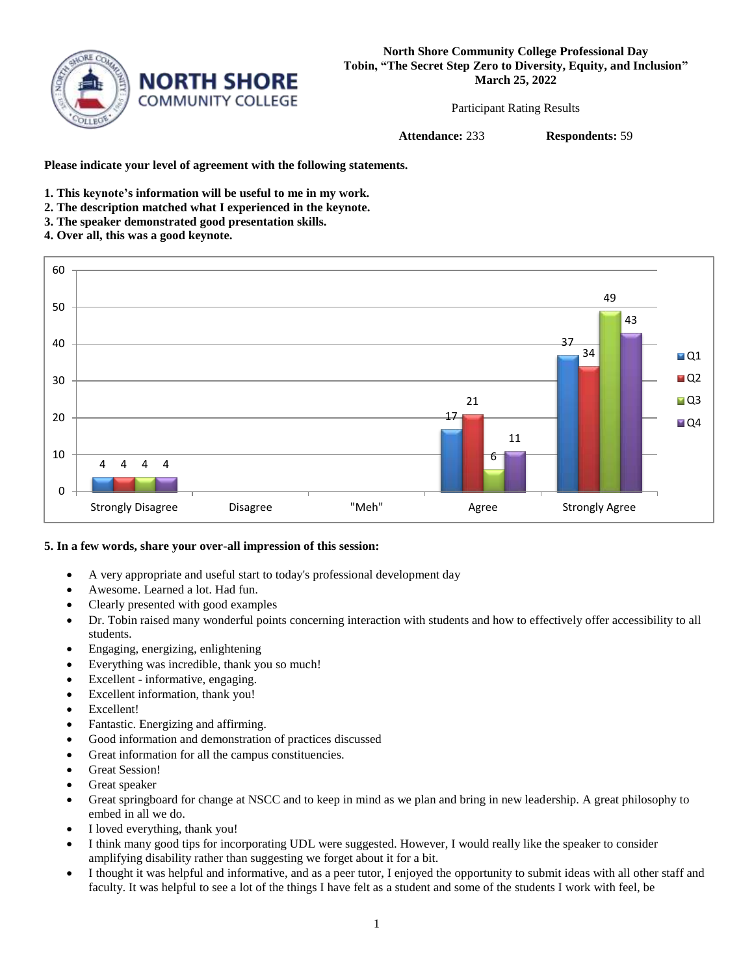

Participant Rating Results

**Attendance:** 233 **Respondents:** 59

**Please indicate your level of agreement with the following statements.**

- **1. This keynote's information will be useful to me in my work.**
- **2. The description matched what I experienced in the keynote.**
- **3. The speaker demonstrated good presentation skills.**
- **4. Over all, this was a good keynote.**



## **5. In a few words, share your over-all impression of this session:**

- A very appropriate and useful start to today's professional development day
- Awesome. Learned a lot. Had fun.
- Clearly presented with good examples
- Dr. Tobin raised many wonderful points concerning interaction with students and how to effectively offer accessibility to all students.
- Engaging, energizing, enlightening
- Everything was incredible, thank you so much!
- Excellent informative, engaging.
- Excellent information, thank you!
- Excellent!
- Fantastic. Energizing and affirming.
- Good information and demonstration of practices discussed
- Great information for all the campus constituencies.
- Great Session!
- Great speaker
- Great springboard for change at NSCC and to keep in mind as we plan and bring in new leadership. A great philosophy to embed in all we do.
- I loved everything, thank you!
- I think many good tips for incorporating UDL were suggested. However, I would really like the speaker to consider amplifying disability rather than suggesting we forget about it for a bit.
- I thought it was helpful and informative, and as a peer tutor, I enjoyed the opportunity to submit ideas with all other staff and faculty. It was helpful to see a lot of the things I have felt as a student and some of the students I work with feel, be